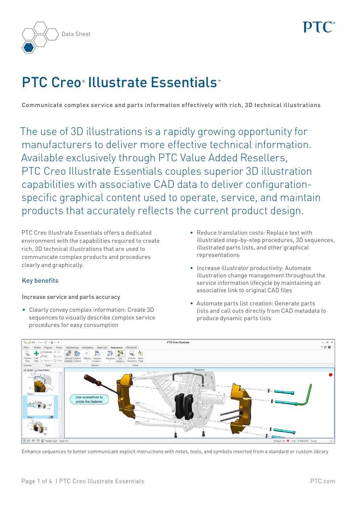

# PTC Creo<sup>®</sup> Illustrate Essentials

Communicate complex service and parts information effectively with rich, 3D technical illustrations

The use of 3D illustrations is a rapidly growing opportunity for manufacturers to deliver more effective technical information. Available exclusively through PTC Value Added Resellers, PTC Creo Illustrate Essentials couples superior 3D illustration capabilities with associative CAD data to deliver configurationspecific graphical content used to operate, service, and maintain products that accurately reflects the current product design.

PTC Creo Illustrate Essentials offers a dedicated environment with the capabilities required to create rich, 3D technical illustrations that are used to communicate complex products and procedures clearly and graphically.

## Key benefits

### Increase service and parts accuracy

• Clearly convey complex information: Create 3D sequences to visually describe complex service procedures for easy consumption

- • Reduce translation costs: Replace text with illustrated step-by-step procedures, 3D sequences, illustrated parts lists, and other graphical representations
- • Increase illustrator productivity: Automate illustration change management throughout the service information lifecycle by maintaining an associative link to original CAD files
- • Automate parts list creation: Generate parts lists and call outs directly from CAD metadata to produce dynamic parts lists



Enhance sequences to better communicate explicit instructions with notes, tools, and symbols inserted from a standard or custom library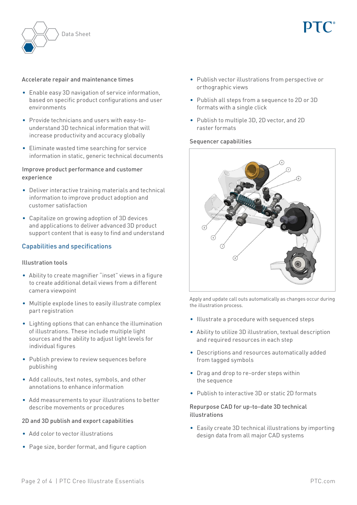

#### Accelerate repair and maintenance times

- Enable easy 3D navigation of service information, based on specific product configurations and user environments
- • Provide technicians and users with easy-tounderstand 3D technical information that will increase productivity and accuracy globally
- • Eliminate wasted time searching for service information in static, generic technical documents

#### Improve product performance and customer experience

- Deliver interactive training materials and technical information to improve product adoption and customer satisfaction
- • Capitalize on growing adoption of 3D devices and applications to deliver advanced 3D product support content that is easy to find and understand

#### Capabilities and specifications

#### Illustration tools

- Ability to create magnifier "inset" views in a figure to create additional detail views from a different camera viewpoint
- Multiple explode lines to easily illustrate complex part registration
- • Lighting options that can enhance the illumination of illustrations. These include multiple light sources and the ability to adjust light levels for individual figures
- Publish preview to review sequences before publishing
- • Add callouts, text notes, symbols, and other annotations to enhance information
- • Add measurements to your illustrations to better describe movements or procedures

#### 2D and 3D publish and export capabilities

- • Add color to vector illustrations
- • Page size, border format, and figure caption
- • Publish vector illustrations from perspective or orthographic views
- • Publish all steps from a sequence to 2D or 3D formats with a single click
- • Publish to multiple 3D, 2D vector, and 2D raster formats

#### Sequencer capabilities



Apply and update call outs automatically as changes occur during the illustration process.

- • Illustrate a procedure with sequenced steps
- Ability to utilize 3D illustration, textual description and required resources in each step
- Descriptions and resources automatically added from tagged symbols
- • Drag and drop to re-order steps within the sequence
- • Publish to interactive 3D or static 2D formats

#### Repurpose CAD for up-to-date 3D technical illustrations

• Easily create 3D technical illustrations by importing design data from all major CAD systems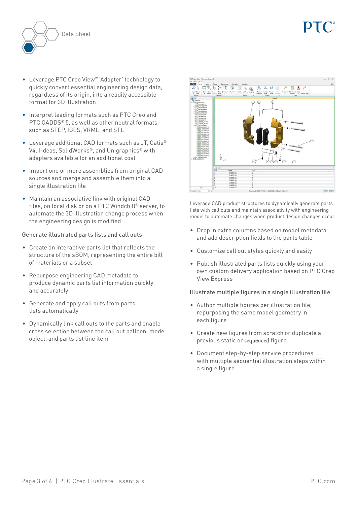

- • Leverage PTC Creo View™ 'Adapter' technology to quickly convert essential engineering design data, regardless of its origin, into a readily accessible format for 3D illustration
- Interpret leading formats such as PTC Creo and PTC CADDS® 5, as well as other neutral formats such as STEP, IGES, VRML, and STL
- Leverage additional CAD formats such as JT, Catia<sup>®</sup> V4, I-deas, SolidWorks®, and Unigraphics® with adapters available for an additional cost
- Import one or more assemblies from original CAD sources and merge and assemble them into a single illustration file
- Maintain an associative link with original CAD files, on local disk or on a PTC Windchill® server, to automate the 3D illustration change process when the engineering design is modified

#### Generate illustrated parts lists and call outs

- • Create an interactive parts list that reflects the structure of the sBOM, representing the entire bill of materials or a subset
- • Repurpose engineering CAD metadata to produce dynamic parts list information quickly and accurately
- • Generate and apply call outs from parts lists automatically
- • Dynamically link call outs to the parts and enable cross selection between the call out balloon, model object, and parts list line item



Leverage CAD product structures to dynamically generate parts lists with call outs and maintain associativity with engineering model to automate changes when product design changes occur.

- • Drop in extra columns based on model metadata and add description fields to the parts table
- Customize call out styles quickly and easily
- Publish illustrated parts lists quickly using your own custom delivery application based on PTC Creo View Express

#### Illustrate multiple figures in a single illustration file

- • Author multiple figures per illustration file, repurposing the same model geometry in each figure
- • Create new figures from scratch or duplicate a previous static or sequenced figure
- Document step-by-step service procedures with multiple sequential illustration steps within a single figure